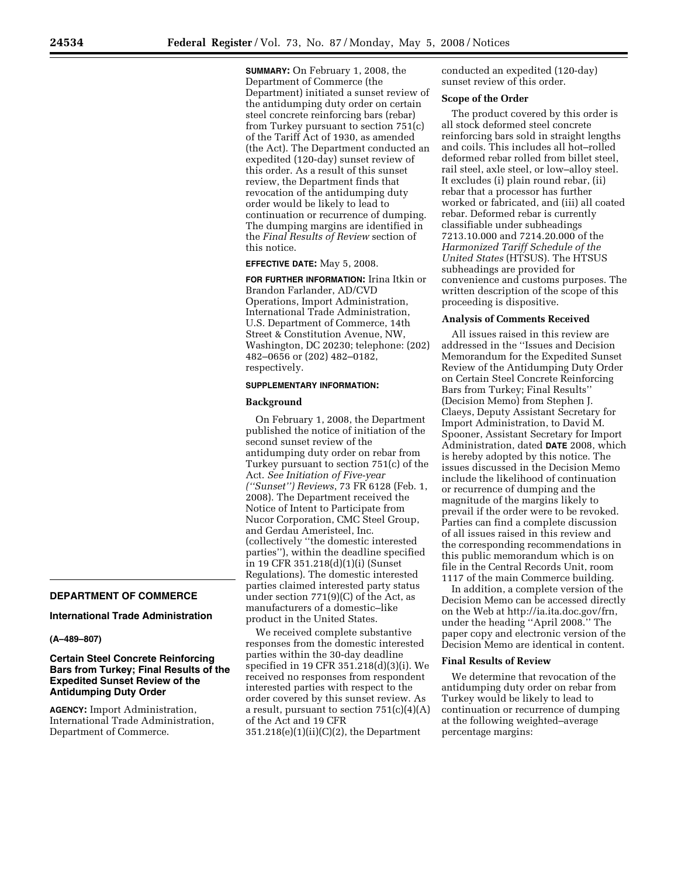**DEPARTMENT OF COMMERCE International Trade Administration** 

**Certain Steel Concrete Reinforcing Bars from Turkey; Final Results of the Expedited Sunset Review of the Antidumping Duty Order** 

**AGENCY:** Import Administration, International Trade Administration,

Department of Commerce.

**(A–489–807)** 

**SUMMARY:** On February 1, 2008, the Department of Commerce (the Department) initiated a sunset review of the antidumping duty order on certain steel concrete reinforcing bars (rebar) from Turkey pursuant to section 751(c) of the Tariff Act of 1930, as amended (the Act). The Department conducted an expedited (120-day) sunset review of this order. As a result of this sunset review, the Department finds that revocation of the antidumping duty order would be likely to lead to continuation or recurrence of dumping. The dumping margins are identified in the *Final Results of Review* section of this notice.

# **EFFECTIVE DATE:** May 5, 2008.

**FOR FURTHER INFORMATION:** Irina Itkin or Brandon Farlander, AD/CVD Operations, Import Administration, International Trade Administration, U.S. Department of Commerce, 14th Street & Constitution Avenue, NW, Washington, DC 20230; telephone: (202) 482–0656 or (202) 482–0182, respectively.

#### **SUPPLEMENTARY INFORMATION:**

### **Background**

On February 1, 2008, the Department published the notice of initiation of the second sunset review of the antidumping duty order on rebar from Turkey pursuant to section 751(c) of the Act. *See Initiation of Five-year (''Sunset'') Reviews*, 73 FR 6128 (Feb. 1, 2008). The Department received the Notice of Intent to Participate from Nucor Corporation, CMC Steel Group, and Gerdau Ameristeel, Inc. (collectively ''the domestic interested parties''), within the deadline specified in 19 CFR 351.218(d)(1)(i) (Sunset Regulations). The domestic interested parties claimed interested party status under section 771(9)(C) of the Act, as manufacturers of a domestic–like product in the United States.

We received complete substantive responses from the domestic interested parties within the 30-day deadline specified in 19 CFR 351.218(d)(3)(i). We received no responses from respondent interested parties with respect to the order covered by this sunset review. As a result, pursuant to section  $751(c)(4)(A)$ of the Act and 19 CFR  $351.218(e)(1)(ii)(C)(2)$ , the Department

conducted an expedited (120-day) sunset review of this order.

## **Scope of the Order**

The product covered by this order is all stock deformed steel concrete reinforcing bars sold in straight lengths and coils. This includes all hot–rolled deformed rebar rolled from billet steel, rail steel, axle steel, or low–alloy steel. It excludes (i) plain round rebar, (ii) rebar that a processor has further worked or fabricated, and (iii) all coated rebar. Deformed rebar is currently classifiable under subheadings 7213.10.000 and 7214.20.000 of the *Harmonized Tariff Schedule of the United States* (HTSUS). The HTSUS subheadings are provided for convenience and customs purposes. The written description of the scope of this proceeding is dispositive.

#### **Analysis of Comments Received**

All issues raised in this review are addressed in the ''Issues and Decision Memorandum for the Expedited Sunset Review of the Antidumping Duty Order on Certain Steel Concrete Reinforcing Bars from Turkey; Final Results'' (Decision Memo) from Stephen J. Claeys, Deputy Assistant Secretary for Import Administration, to David M. Spooner, Assistant Secretary for Import Administration, dated **DATE** 2008, which is hereby adopted by this notice. The issues discussed in the Decision Memo include the likelihood of continuation or recurrence of dumping and the magnitude of the margins likely to prevail if the order were to be revoked. Parties can find a complete discussion of all issues raised in this review and the corresponding recommendations in this public memorandum which is on file in the Central Records Unit, room 1117 of the main Commerce building.

In addition, a complete version of the Decision Memo can be accessed directly on the Web at http://ia.ita.doc.gov/frn, under the heading ''April 2008.'' The paper copy and electronic version of the Decision Memo are identical in content.

### **Final Results of Review**

We determine that revocation of the antidumping duty order on rebar from Turkey would be likely to lead to continuation or recurrence of dumping at the following weighted–average percentage margins: